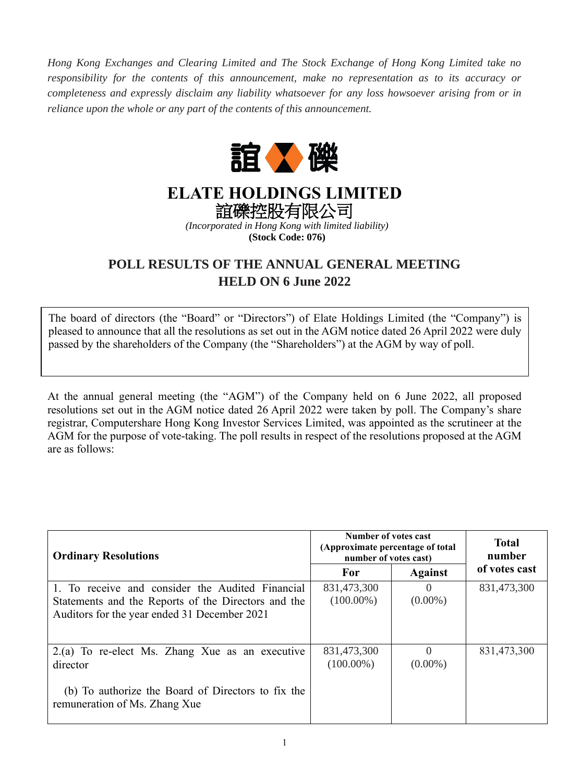*Hong Kong Exchanges and Clearing Limited and The Stock Exchange of Hong Kong Limited take no responsibility for the contents of this announcement, make no representation as to its accuracy or completeness and expressly disclaim any liability whatsoever for any loss howsoever arising from or in reliance upon the whole or any part of the contents of this announcement.* 



## **ELATE HOLDINGS LIMITED**

誼礫控股有限公司 *(Incorporated in Hong Kong with limited liability)*

**(Stock Code: 076)**

## **POLL RESULTS OF THE ANNUAL GENERAL MEETING HELD ON 6 June 2022**

The board of directors (the "Board" or "Directors") of Elate Holdings Limited (the "Company") is pleased to announce that all the resolutions as set out in the AGM notice dated 26 April 2022 were duly passed by the shareholders of the Company (the "Shareholders") at the AGM by way of poll.

At the annual general meeting (the "AGM") of the Company held on 6 June 2022, all proposed resolutions set out in the AGM notice dated 26 April 2022 were taken by poll. The Company's share registrar, Computershare Hong Kong Investor Services Limited, was appointed as the scrutineer at the AGM for the purpose of vote-taking. The poll results in respect of the resolutions proposed at the AGM are as follows:

| <b>Ordinary Resolutions</b>                                                                                                                             | Number of votes cast<br>(Approximate percentage of total<br>number of votes cast) |                        | <b>Total</b><br>number |
|---------------------------------------------------------------------------------------------------------------------------------------------------------|-----------------------------------------------------------------------------------|------------------------|------------------------|
|                                                                                                                                                         | For                                                                               | <b>Against</b>         | of votes cast          |
| 1. To receive and consider the Audited Financial<br>Statements and the Reports of the Directors and the<br>Auditors for the year ended 31 December 2021 | 831,473,300<br>$(100.00\%)$                                                       | $\Omega$<br>$(0.00\%)$ | 831,473,300            |
| 2.(a) To re-elect Ms. Zhang Xue as an executive<br>director<br>(b) To authorize the Board of Directors to fix the<br>remuneration of Ms. Zhang Xue      | 831,473,300<br>$(100.00\%)$                                                       | $\Omega$<br>$(0.00\%)$ | 831,473,300            |